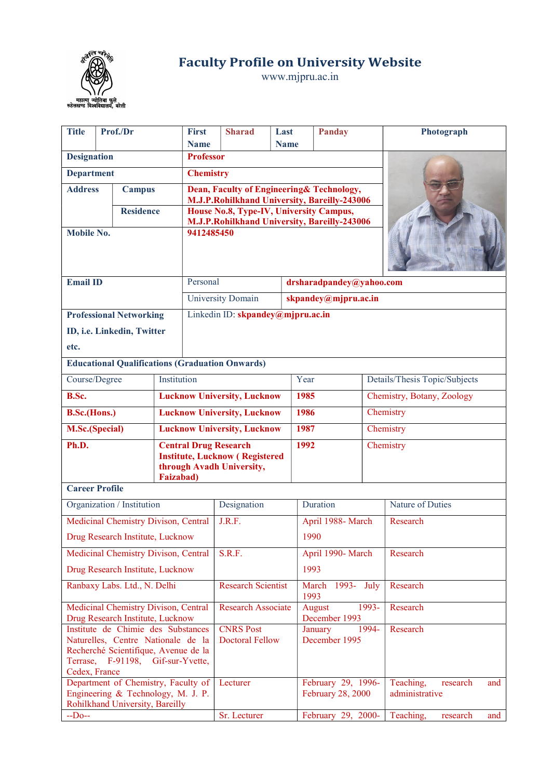

Faculty Profile on University Website

www.mjpru.ac.in

| Prof./Dr<br><b>Title</b>                                                                                                                                               |                                    | <b>First</b>                                                                                                 | <b>Sharad</b>                              | Last                                                                                    | <b>Panday</b>                                                                                      |                    | Photograph                   |                                                |                                                |  |  |
|------------------------------------------------------------------------------------------------------------------------------------------------------------------------|------------------------------------|--------------------------------------------------------------------------------------------------------------|--------------------------------------------|-----------------------------------------------------------------------------------------|----------------------------------------------------------------------------------------------------|--------------------|------------------------------|------------------------------------------------|------------------------------------------------|--|--|
|                                                                                                                                                                        |                                    |                                                                                                              |                                            | <b>Name</b>                                                                             |                                                                                                    | <b>Name</b>        |                              |                                                |                                                |  |  |
| <b>Designation</b>                                                                                                                                                     |                                    |                                                                                                              |                                            | <b>Professor</b>                                                                        |                                                                                                    |                    |                              |                                                |                                                |  |  |
| <b>Department</b>                                                                                                                                                      |                                    |                                                                                                              |                                            | <b>Chemistry</b>                                                                        |                                                                                                    |                    |                              |                                                |                                                |  |  |
| <b>Address</b><br><b>Campus</b>                                                                                                                                        |                                    |                                                                                                              |                                            | Dean, Faculty of Engineering& Technology,                                               |                                                                                                    |                    |                              |                                                |                                                |  |  |
|                                                                                                                                                                        |                                    |                                                                                                              |                                            | M.J.P.Rohilkhand University, Bareilly-243006                                            |                                                                                                    |                    |                              |                                                |                                                |  |  |
| <b>Residence</b>                                                                                                                                                       |                                    |                                                                                                              |                                            | House No.8, Type-IV, University Campus,<br>M.J.P.Rohilkhand University, Bareilly-243006 |                                                                                                    |                    |                              |                                                |                                                |  |  |
| <b>Mobile No.</b>                                                                                                                                                      |                                    | 9412485450                                                                                                   |                                            |                                                                                         |                                                                                                    |                    |                              |                                                |                                                |  |  |
|                                                                                                                                                                        |                                    |                                                                                                              |                                            |                                                                                         |                                                                                                    |                    |                              |                                                |                                                |  |  |
| <b>Email ID</b>                                                                                                                                                        |                                    |                                                                                                              |                                            | Personal                                                                                |                                                                                                    |                    |                              | drsharadpandey@yahoo.com                       |                                                |  |  |
|                                                                                                                                                                        |                                    |                                                                                                              |                                            |                                                                                         | University Domain                                                                                  |                    |                              | skpandey@mjpru.ac.in                           |                                                |  |  |
|                                                                                                                                                                        |                                    | <b>Professional Networking</b>                                                                               |                                            |                                                                                         | Linkedin ID: skpandey@mjpru.ac.in                                                                  |                    |                              |                                                |                                                |  |  |
|                                                                                                                                                                        |                                    | ID, i.e. Linkedin, Twitter                                                                                   |                                            |                                                                                         |                                                                                                    |                    |                              |                                                |                                                |  |  |
| etc.                                                                                                                                                                   |                                    |                                                                                                              |                                            |                                                                                         |                                                                                                    |                    |                              |                                                |                                                |  |  |
|                                                                                                                                                                        |                                    |                                                                                                              |                                            |                                                                                         | <b>Educational Qualifications (Graduation Onwards)</b>                                             |                    |                              |                                                |                                                |  |  |
| Course/Degree                                                                                                                                                          |                                    |                                                                                                              | Institution                                |                                                                                         |                                                                                                    |                    | Year                         |                                                | Details/Thesis Topic/Subjects                  |  |  |
| B.Sc.                                                                                                                                                                  | <b>Lucknow University, Lucknow</b> |                                                                                                              |                                            |                                                                                         |                                                                                                    |                    | 1985                         |                                                | Chemistry, Botany, Zoology                     |  |  |
| B.Sc.(Hons.)                                                                                                                                                           |                                    |                                                                                                              |                                            |                                                                                         | <b>Lucknow University, Lucknow</b>                                                                 |                    | 1986                         |                                                | Chemistry                                      |  |  |
| <b>M.Sc.(Special)</b>                                                                                                                                                  |                                    |                                                                                                              |                                            |                                                                                         | <b>Lucknow University, Lucknow</b>                                                                 |                    | 1987                         |                                                | Chemistry                                      |  |  |
| Ph.D.                                                                                                                                                                  |                                    |                                                                                                              | <b>Faizabad</b> )                          |                                                                                         | <b>Central Drug Research</b><br><b>Institute, Lucknow (Registered</b><br>through Avadh University, |                    | 1992                         |                                                | Chemistry                                      |  |  |
| <b>Career Profile</b>                                                                                                                                                  |                                    |                                                                                                              |                                            |                                                                                         |                                                                                                    |                    |                              |                                                |                                                |  |  |
|                                                                                                                                                                        |                                    | Organization / Institution                                                                                   |                                            |                                                                                         | Designation                                                                                        |                    | Duration                     |                                                | Nature of Duties                               |  |  |
|                                                                                                                                                                        |                                    | Medicinal Chemistry Divison, Central                                                                         |                                            |                                                                                         | J.R.F.                                                                                             |                    |                              | April 1988- March                              | Research                                       |  |  |
|                                                                                                                                                                        |                                    | Drug Research Institute, Lucknow                                                                             |                                            |                                                                                         |                                                                                                    |                    | 1990                         |                                                |                                                |  |  |
|                                                                                                                                                                        |                                    | Medicinal Chemistry Divison, Central                                                                         |                                            |                                                                                         | S.R.F.                                                                                             |                    |                              | April 1990- March                              | Research                                       |  |  |
|                                                                                                                                                                        |                                    | Drug Research Institute, Lucknow                                                                             |                                            |                                                                                         |                                                                                                    |                    | 1993                         |                                                |                                                |  |  |
|                                                                                                                                                                        | Ranbaxy Labs. Ltd., N. Delhi       |                                                                                                              |                                            |                                                                                         | <b>Research Scientist</b>                                                                          |                    | March 1993-<br>1993          | July                                           | Research                                       |  |  |
| Medicinal Chemistry Divison, Central<br>Drug Research Institute, Lucknow                                                                                               |                                    |                                                                                                              |                                            | <b>Research Associate</b>                                                               |                                                                                                    | 1993-<br>August    |                              | Research                                       |                                                |  |  |
| Institute de Chimie des Substances<br>Naturelles, Centre Nationale de la<br>Recherché Scientifique, Avenue de la<br>Terrase, F-91198, Gif-sur-Yvette,<br>Cedex, France |                                    |                                                                                                              | <b>CNRS Post</b><br><b>Doctoral Fellow</b> |                                                                                         | December 1993<br>January<br>1994-<br>December 1995                                                 |                    | Research                     |                                                |                                                |  |  |
|                                                                                                                                                                        |                                    | Department of Chemistry, Faculty of<br>Engineering & Technology, M. J. P.<br>Rohilkhand University, Bareilly |                                            |                                                                                         | Lecturer                                                                                           |                    |                              | February 29, 1996-<br><b>February 28, 2000</b> | Teaching,<br>research<br>and<br>administrative |  |  |
| $-Do-$                                                                                                                                                                 |                                    |                                                                                                              |                                            | Sr. Lecturer                                                                            |                                                                                                    | February 29, 2000- | Teaching,<br>research<br>and |                                                |                                                |  |  |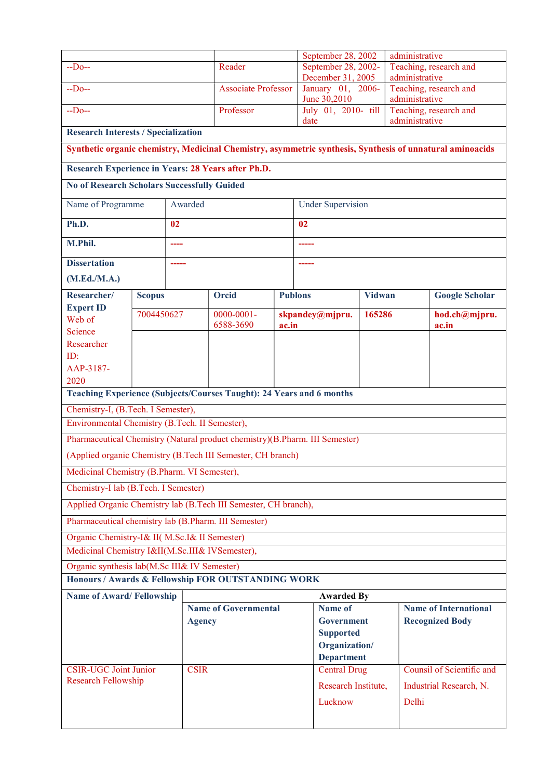|                                                                                                           |                                                    |               |                            |                   | September 28, 2002                       |        | administrative               |                                          |  |
|-----------------------------------------------------------------------------------------------------------|----------------------------------------------------|---------------|----------------------------|-------------------|------------------------------------------|--------|------------------------------|------------------------------------------|--|
| $-Do-$                                                                                                    |                                                    |               | Reader                     |                   | September 28, 2002-<br>December 31, 2005 |        | administrative               | Teaching, research and                   |  |
| $-Do-$                                                                                                    |                                                    |               | <b>Associate Professor</b> |                   | January 01, 2006-<br>June 30,2010        |        | administrative               | Teaching, research and                   |  |
| $-Do-$                                                                                                    |                                                    |               | Professor                  |                   | July 01, 2010- till<br>date              |        |                              | Teaching, research and<br>administrative |  |
| <b>Research Interests / Specialization</b>                                                                |                                                    |               |                            |                   |                                          |        |                              |                                          |  |
| Synthetic organic chemistry, Medicinal Chemistry, asymmetric synthesis, Synthesis of unnatural aminoacids |                                                    |               |                            |                   |                                          |        |                              |                                          |  |
| Research Experience in Years: 28 Years after Ph.D.                                                        |                                                    |               |                            |                   |                                          |        |                              |                                          |  |
| <b>No of Research Scholars Successfully Guided</b>                                                        |                                                    |               |                            |                   |                                          |        |                              |                                          |  |
| Name of Programme                                                                                         |                                                    | Awarded       |                            |                   | <b>Under Supervision</b>                 |        |                              |                                          |  |
| Ph.D.                                                                                                     |                                                    | 02            |                            |                   | 02                                       |        |                              |                                          |  |
| M.Phil.                                                                                                   |                                                    | ----          |                            |                   | -----                                    |        |                              |                                          |  |
| <b>Dissertation</b>                                                                                       |                                                    | -----         |                            |                   | -----                                    |        |                              |                                          |  |
| (M.Ed./M.A.)                                                                                              |                                                    |               |                            |                   |                                          |        |                              |                                          |  |
| Researcher/                                                                                               | <b>Scopus</b>                                      |               | <b>Orcid</b>               |                   | <b>Publons</b>                           | Vidwan |                              | <b>Google Scholar</b>                    |  |
| <b>Expert ID</b><br>Web of                                                                                | 7004450627                                         |               | $0000 - 0001 -$            |                   | skpandey@mjpru.                          | 165286 |                              | hod.ch@mjpru.                            |  |
| Science                                                                                                   |                                                    |               | 6588-3690                  | ac.in             |                                          |        |                              | ac.in                                    |  |
| Researcher                                                                                                |                                                    |               |                            |                   |                                          |        |                              |                                          |  |
| ID:                                                                                                       |                                                    |               |                            |                   |                                          |        |                              |                                          |  |
| AAP-3187-                                                                                                 |                                                    |               |                            |                   |                                          |        |                              |                                          |  |
| 2020                                                                                                      |                                                    |               |                            |                   |                                          |        |                              |                                          |  |
| Teaching Experience (Subjects/Courses Taught): 24 Years and 6 months                                      |                                                    |               |                            |                   |                                          |        |                              |                                          |  |
| Chemistry-I, (B.Tech. I Semester),<br>Environmental Chemistry (B.Tech. II Semester),                      |                                                    |               |                            |                   |                                          |        |                              |                                          |  |
| Pharmaceutical Chemistry (Natural product chemistry)(B.Pharm. III Semester)                               |                                                    |               |                            |                   |                                          |        |                              |                                          |  |
| (Applied organic Chemistry (B.Tech III Semester, CH branch)                                               |                                                    |               |                            |                   |                                          |        |                              |                                          |  |
| Medicinal Chemistry (B.Pharm. VI Semester),                                                               |                                                    |               |                            |                   |                                          |        |                              |                                          |  |
| Chemistry-I lab (B.Tech. I Semester)                                                                      |                                                    |               |                            |                   |                                          |        |                              |                                          |  |
| Applied Organic Chemistry lab (B.Tech III Semester, CH branch),                                           |                                                    |               |                            |                   |                                          |        |                              |                                          |  |
| Pharmaceutical chemistry lab (B.Pharm. III Semester)                                                      |                                                    |               |                            |                   |                                          |        |                              |                                          |  |
| Organic Chemistry-I& II( M.Sc.I& II Semester)                                                             |                                                    |               |                            |                   |                                          |        |                              |                                          |  |
| Medicinal Chemistry I&II(M.Sc.III& IVSemester),                                                           |                                                    |               |                            |                   |                                          |        |                              |                                          |  |
| Organic synthesis lab(M.Sc III& IV Semester)                                                              |                                                    |               |                            |                   |                                          |        |                              |                                          |  |
|                                                                                                           | Honours / Awards & Fellowship FOR OUTSTANDING WORK |               |                            |                   |                                          |        |                              |                                          |  |
|                                                                                                           | <b>Name of Award/Fellowship</b>                    |               |                            |                   | <b>Awarded By</b>                        |        |                              |                                          |  |
|                                                                                                           | <b>Name of Governmental</b>                        |               |                            | <b>Name of</b>    |                                          |        | <b>Name of International</b> |                                          |  |
|                                                                                                           |                                                    | <b>Agency</b> |                            |                   | Government<br><b>Supported</b>           |        |                              | <b>Recognized Body</b>                   |  |
|                                                                                                           |                                                    |               |                            |                   | Organization/                            |        |                              |                                          |  |
|                                                                                                           |                                                    |               |                            | <b>Department</b> |                                          |        |                              |                                          |  |
| <b>CSIR-UGC Joint Junior</b>                                                                              |                                                    | <b>CSIR</b>   |                            |                   | <b>Central Drug</b>                      |        |                              | Counsil of Scientific and                |  |
| <b>Research Fellowship</b>                                                                                |                                                    |               |                            |                   | Research Institute,                      |        |                              | Industrial Research, N.                  |  |
|                                                                                                           |                                                    |               |                            |                   | Lucknow                                  |        | Delhi                        |                                          |  |
|                                                                                                           |                                                    |               |                            |                   |                                          |        |                              |                                          |  |
|                                                                                                           |                                                    |               |                            |                   |                                          |        |                              |                                          |  |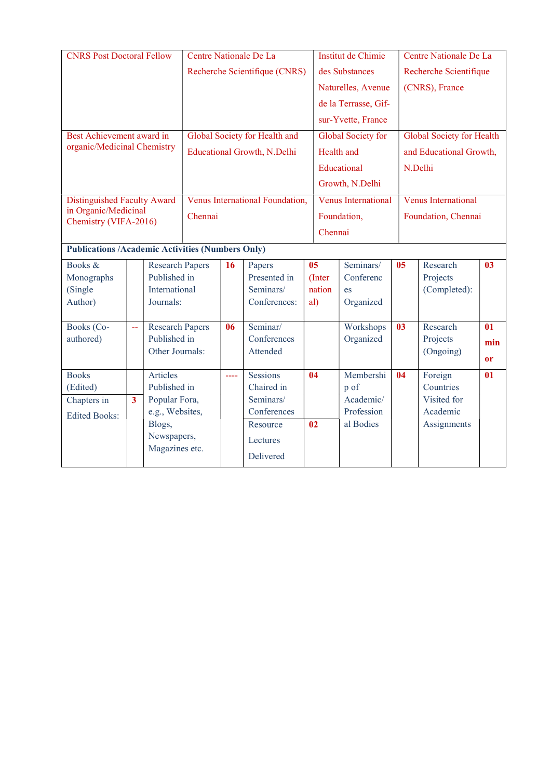| <b>CNRS Post Doctoral Fellow</b>                        |                |                                        | Centre Nationale De La        |               |                                    |    |                | Institut de Chimie         |                | Centre Nationale De La           |               |  |
|---------------------------------------------------------|----------------|----------------------------------------|-------------------------------|---------------|------------------------------------|----|----------------|----------------------------|----------------|----------------------------------|---------------|--|
|                                                         |                |                                        | Recherche Scientifique (CNRS) |               |                                    |    |                | des Substances             |                | Recherche Scientifique           |               |  |
|                                                         |                |                                        |                               |               |                                    |    |                | Naturelles, Avenue         |                | (CNRS), France                   |               |  |
|                                                         |                |                                        |                               |               |                                    |    |                | de la Terrasse, Gif-       |                |                                  |               |  |
|                                                         |                |                                        |                               |               |                                    |    |                | sur-Yvette, France         |                |                                  |               |  |
|                                                         |                |                                        |                               |               |                                    |    |                |                            |                |                                  |               |  |
| Best Achievement award in                               |                |                                        |                               |               | Global Society for Health and      |    |                | Global Society for         |                | <b>Global Society for Health</b> |               |  |
| organic/Medicinal Chemistry                             |                |                                        |                               |               | <b>Educational Growth, N.Delhi</b> |    |                | Health and                 |                | and Educational Growth,          |               |  |
|                                                         |                |                                        |                               |               |                                    |    |                | Educational                |                | N.Delhi                          |               |  |
|                                                         |                |                                        |                               |               |                                    |    |                | Growth, N.Delhi            |                |                                  |               |  |
| <b>Distinguished Faculty Award</b>                      |                |                                        |                               |               | Venus International Foundation,    |    |                | <b>Venus International</b> |                | Venus International              |               |  |
| in Organic/Medicinal                                    |                |                                        |                               |               |                                    |    |                |                            |                |                                  |               |  |
| Chemistry (VIFA-2016)                                   |                |                                        | Chennai                       |               |                                    |    | Foundation,    |                            |                | Foundation, Chennai              |               |  |
|                                                         |                |                                        |                               |               |                                    |    | Chennai        |                            |                |                                  |               |  |
| <b>Publications /Academic Activities (Numbers Only)</b> |                |                                        |                               |               |                                    |    |                |                            |                |                                  |               |  |
| Books &                                                 |                | <b>Research Papers</b>                 |                               | 16            | Papers                             |    | 0 <sub>5</sub> | Seminars/                  | 0 <sub>5</sub> | Research                         | 03            |  |
| Monographs                                              |                | Published in                           |                               |               | Presented in                       |    | (Inter         | Conferenc                  |                | Projects                         |               |  |
| (Single                                                 |                | International                          |                               |               | Seminars/                          |    | nation         | es                         |                | (Completed):                     |               |  |
| Author)                                                 |                | Journals:                              |                               |               | Conferences:                       |    | al)            | Organized                  |                |                                  |               |  |
|                                                         |                |                                        |                               |               |                                    |    |                |                            |                |                                  |               |  |
| Books (Co-                                              | $\overline{a}$ | <b>Research Papers</b><br>Published in |                               | 06            | Seminar/<br>Conferences            |    |                | Workshops                  | 0 <sup>3</sup> | Research                         | 01            |  |
| authored)                                               |                | Other Journals:                        |                               |               | Attended                           |    |                | Organized                  |                | Projects<br>(Ongoing)            | min           |  |
|                                                         |                |                                        |                               |               |                                    |    |                |                            |                |                                  | <sub>or</sub> |  |
| <b>Books</b>                                            |                | Articles                               |                               | $\frac{1}{2}$ | <b>Sessions</b>                    | 04 |                | Membershi                  | 04             | Foreign                          | 01            |  |
| Published in<br>(Edited)                                |                |                                        |                               | Chaired in    |                                    |    | p of           |                            | Countries      |                                  |               |  |
| Popular Fora,<br>Chapters in<br>$\overline{\mathbf{3}}$ |                |                                        |                               | Seminars/     |                                    |    | Academic/      |                            | Visited for    |                                  |               |  |
| e.g., Websites,<br><b>Edited Books:</b>                 |                |                                        |                               | Conferences   |                                    |    | Profession     |                            | Academic       |                                  |               |  |
|                                                         |                | Blogs,                                 |                               |               | Resource                           | 02 |                | al Bodies                  |                | Assignments                      |               |  |
|                                                         |                | Newspapers,                            |                               |               | Lectures                           |    |                |                            |                |                                  |               |  |
|                                                         |                | Magazines etc.                         |                               |               | Delivered                          |    |                |                            |                |                                  |               |  |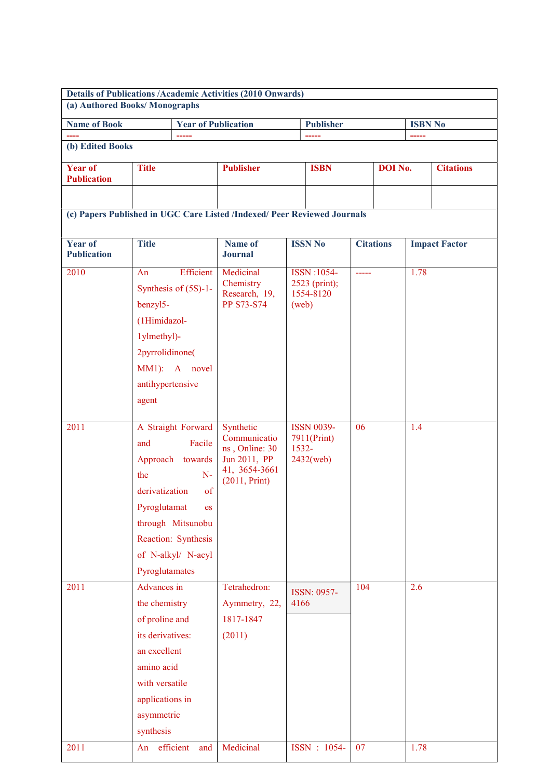| <b>Details of Publications /Academic Activities (2010 Onwards)</b><br>(a) Authored Books/Monographs |                                                                                                                                                                  |                                                                                                                                               |                                                                                               |       |                                                  |               |                  |      |                      |
|-----------------------------------------------------------------------------------------------------|------------------------------------------------------------------------------------------------------------------------------------------------------------------|-----------------------------------------------------------------------------------------------------------------------------------------------|-----------------------------------------------------------------------------------------------|-------|--------------------------------------------------|---------------|------------------|------|----------------------|
|                                                                                                     |                                                                                                                                                                  |                                                                                                                                               |                                                                                               |       | <b>Publisher</b><br><b>ISBN No</b>               |               |                  |      |                      |
| <b>Name of Book</b>                                                                                 |                                                                                                                                                                  | <b>Year of Publication</b><br>-----                                                                                                           |                                                                                               |       |                                                  |               |                  |      |                      |
| (b) Edited Books                                                                                    |                                                                                                                                                                  |                                                                                                                                               |                                                                                               |       |                                                  |               |                  |      |                      |
| <b>Year of</b><br><b>Publication</b>                                                                | <b>Title</b>                                                                                                                                                     |                                                                                                                                               | <b>Publisher</b>                                                                              |       | <b>ISBN</b>                                      |               | <b>DOI</b> No.   |      | <b>Citations</b>     |
|                                                                                                     |                                                                                                                                                                  |                                                                                                                                               |                                                                                               |       |                                                  |               |                  |      |                      |
|                                                                                                     |                                                                                                                                                                  |                                                                                                                                               | (c) Papers Published in UGC Care Listed /Indexed/ Peer Reviewed Journals                      |       |                                                  |               |                  |      |                      |
| Year of<br><b>Publication</b>                                                                       | <b>Title</b>                                                                                                                                                     |                                                                                                                                               | Name of<br><b>Journal</b>                                                                     |       | <b>ISSN No</b>                                   |               | <b>Citations</b> |      | <b>Impact Factor</b> |
| 2010                                                                                                | An<br>benzyl5-<br>(1Himidazol-<br>1ylmethyl)-<br>2pyrrolidinone(<br>antihypertensive<br>agent                                                                    | Efficient<br>Synthesis of $(5S)-1$ -<br>MM1): A novel                                                                                         | Medicinal<br>Chemistry<br>Research, 19,<br><b>PP S73-S74</b>                                  | (web) | ISSN:1054-<br>2523 (print);<br>1554-8120         | $\frac{1}{2}$ |                  | 1.78 |                      |
| 2011                                                                                                | and<br>the<br>derivatization<br>Pyroglutamat<br>Pyroglutamates                                                                                                   | A Straight Forward<br>Facile<br>Approach towards<br>$N-$<br>of<br><b>es</b><br>through Mitsunobu<br>Reaction: Synthesis<br>of N-alkyl/ N-acyl | Synthetic<br>Communicatio<br>ns, Online: 30<br>Jun 2011, PP<br>41, 3654-3661<br>(2011, Print) | 1532- | <b>ISSN 0039-</b><br>7911(Print)<br>$2432$ (web) | 06            |                  | 1.4  |                      |
| 2011                                                                                                | Advances in<br>the chemistry<br>of proline and<br>its derivatives:<br>an excellent<br>amino acid<br>with versatile<br>applications in<br>asymmetric<br>synthesis |                                                                                                                                               | Tetrahedron:<br>Aymmetry, 22,<br>1817-1847<br>(2011)                                          | 4166  | ISSN: 0957-                                      | 104           |                  | 2.6  |                      |
| 2011                                                                                                | An                                                                                                                                                               | efficient<br>and                                                                                                                              | Medicinal                                                                                     |       | ISSN: 1054-                                      | 07            |                  | 1.78 |                      |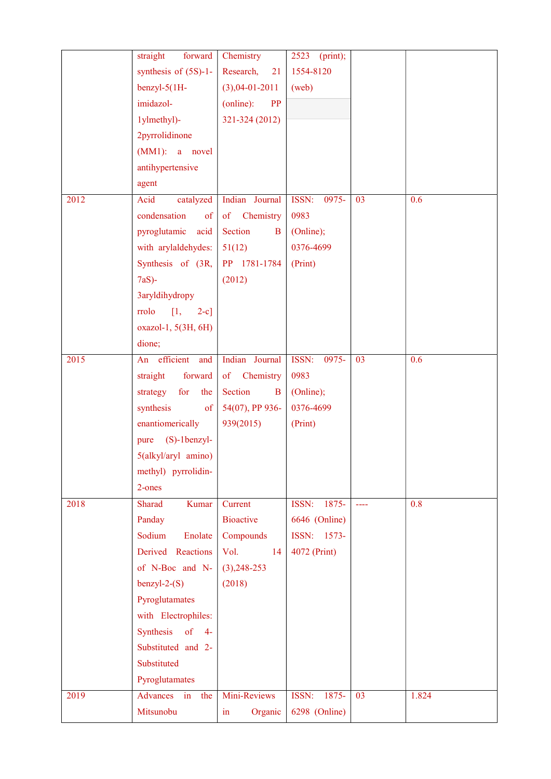|                   | straight<br>forward                   | Chemistry                      | $2523$ (print); |                 |       |
|-------------------|---------------------------------------|--------------------------------|-----------------|-----------------|-------|
|                   | synthesis of $(5S)-1$ -               | Research,<br>21                | 1554-8120       |                 |       |
|                   | $benzyl-5(1H-$                        | $(3),04-01-2011$               | (web)           |                 |       |
|                   | imidazol-                             | PP<br>(online):                |                 |                 |       |
|                   | 1ylmethyl)-                           | 321-324 (2012)                 |                 |                 |       |
|                   | 2pyrrolidinone                        |                                |                 |                 |       |
|                   | $(MM1):$ a novel                      |                                |                 |                 |       |
|                   | antihypertensive                      |                                |                 |                 |       |
|                   | agent                                 |                                |                 |                 |       |
| $201\overline{2}$ | catalyzed<br>Acid                     | Indian Journal                 | ISSN:<br>0975-  | 03              | 0.6   |
|                   | condensation<br>$\sigma$              | of Chemistry                   | 0983            |                 |       |
|                   | pyroglutamic<br>acid                  | Section<br>$\bf{B}$            | (Online);       |                 |       |
|                   | with arylaldehydes:                   | 51(12)                         | 0376-4699       |                 |       |
|                   | Synthesis of (3R,                     | PP 1781-1784                   | (Print)         |                 |       |
|                   | $7aS$ -                               | (2012)                         |                 |                 |       |
|                   | 3aryldihydropy                        |                                |                 |                 |       |
|                   | $\left[1,\right]$<br>rrolo<br>$2-c$ ] |                                |                 |                 |       |
|                   | oxazol-1, 5(3H, 6H)                   |                                |                 |                 |       |
|                   | dione;                                |                                |                 |                 |       |
| 2015              | efficient<br>and<br>An                | Indian Journal                 | ISSN:<br>0975-  | 03              | 0.6   |
|                   | straight<br>forward                   | of Chemistry                   | 0983            |                 |       |
|                   | for<br>strategy<br>the                | Section<br>B                   | (Online);       |                 |       |
|                   | synthesis<br>$\sigma$                 | 54(07), PP 936-                | 0376-4699       |                 |       |
|                   | enantiomerically                      | 939(2015)                      | (Print)         |                 |       |
|                   | (S)-1benzyl-<br>pure                  |                                |                 |                 |       |
|                   | 5(alkyl/aryl amino)                   |                                |                 |                 |       |
|                   | methyl) pyrrolidin-                   |                                |                 |                 |       |
|                   | 2-ones                                |                                |                 |                 |       |
| 2018              | Sharad<br>Kumar                       | Current                        | ISSN:<br>1875-  | $\frac{1}{2}$   | 0.8   |
|                   | Panday                                | <b>Bioactive</b>               | 6646 (Online)   |                 |       |
|                   | Sodium<br>Enolate                     | Compounds                      | ISSN: 1573-     |                 |       |
|                   | Derived Reactions                     | Vol.<br>14                     | 4072 (Print)    |                 |       |
|                   | of N-Boc and N-                       | $(3), 248 - 253$               |                 |                 |       |
|                   | $benzyl-2-(S)$                        | (2018)                         |                 |                 |       |
|                   | Pyroglutamates                        |                                |                 |                 |       |
|                   | with Electrophiles:                   |                                |                 |                 |       |
|                   | Synthesis<br>of<br>$4-$               |                                |                 |                 |       |
|                   | Substituted and 2-                    |                                |                 |                 |       |
|                   | Substituted                           |                                |                 |                 |       |
|                   | Pyroglutamates                        |                                |                 |                 |       |
| 2019              | Advances<br>in<br>the                 | Mini-Reviews                   | ISSN: 1875-     | $\overline{03}$ | 1.824 |
|                   | Mitsunobu                             | Organic<br>$\operatorname{in}$ | 6298 (Online)   |                 |       |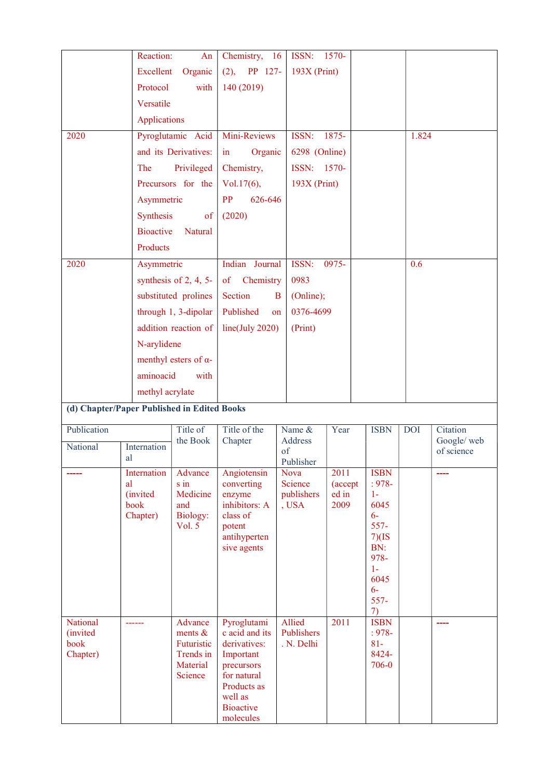|                                             | Reaction:         | An                           | Chemistry, 16                  | ISSN:                    | $1570-$         |                          |            |                           |
|---------------------------------------------|-------------------|------------------------------|--------------------------------|--------------------------|-----------------|--------------------------|------------|---------------------------|
|                                             | <b>Excellent</b>  | Organic                      | PP 127-<br>(2),                | $193X$ (Print)           |                 |                          |            |                           |
|                                             | Protocol          | with                         | 140 (2019)                     |                          |                 |                          |            |                           |
|                                             | Versatile         |                              |                                |                          |                 |                          |            |                           |
|                                             | Applications      |                              |                                |                          |                 |                          |            |                           |
| 2020                                        |                   | Pyroglutamic Acid            | Mini-Reviews                   | ISSN:                    | 1875-           |                          | 1.824      |                           |
|                                             |                   | and its Derivatives:         | Organic<br>$\mathbf{in}$       | 6298 (Online)            |                 |                          |            |                           |
|                                             | The               | Privileged                   | Chemistry,                     | ISSN: 1570-              |                 |                          |            |                           |
|                                             |                   | Precursors for the           | $Vol.17(6)$ ,                  | $193X$ (Print)           |                 |                          |            |                           |
|                                             | Asymmetric        |                              | PP<br>626-646                  |                          |                 |                          |            |                           |
|                                             | Synthesis         | of                           | (2020)                         |                          |                 |                          |            |                           |
|                                             | <b>Bioactive</b>  | Natural                      |                                |                          |                 |                          |            |                           |
|                                             | Products          |                              |                                |                          |                 |                          |            |                           |
| 2020                                        | Asymmetric        |                              | Indian Journal                 | ISSN:                    | 0975-           |                          | 0.6        |                           |
|                                             |                   | synthesis of 2, 4, 5-        | Chemistry<br>of                | 0983                     |                 |                          |            |                           |
|                                             |                   | substituted prolines         | Section                        | (Online);<br>B           |                 |                          |            |                           |
|                                             |                   | through 1, 3-dipolar         | Published                      | 0376-4699<br>on          |                 |                          |            |                           |
|                                             |                   | addition reaction of         | line(July 2020)                | (Print)                  |                 |                          |            |                           |
|                                             | N-arylidene       |                              |                                |                          |                 |                          |            |                           |
|                                             |                   | menthyl esters of $\alpha$ - |                                |                          |                 |                          |            |                           |
|                                             | aminoacid         | with                         |                                |                          |                 |                          |            |                           |
|                                             | methyl acrylate   |                              |                                |                          |                 |                          |            |                           |
| (d) Chapter/Paper Published in Edited Books |                   |                              |                                |                          |                 |                          |            |                           |
| Publication                                 |                   | Title of                     | Title of the                   | Name &                   | Year            | <b>ISBN</b>              | <b>DOI</b> | Citation                  |
| National                                    | Internation       | the Book                     | Chapter                        | Address<br>of            |                 |                          |            | Google/ web<br>of science |
|                                             | al                |                              |                                | Publisher                |                 |                          |            |                           |
|                                             | Internation<br>al | Advance<br>s in              | Angiotensin<br>converting      | <b>Nova</b><br>Science   | 2011<br>(accept | <b>ISBN</b><br>$: 978 -$ |            |                           |
|                                             | <i>(invited)</i>  | Medicine                     | enzyme                         | publishers               | ed in           | $1 -$                    |            |                           |
|                                             | book<br>Chapter)  | and<br>Biology:              | inhibitors: A<br>class of      | , USA                    | 2009            | 6045<br>$6-$             |            |                           |
|                                             |                   | Vol. 5                       | potent                         |                          |                 | $557 -$                  |            |                           |
|                                             |                   |                              | antihyperten<br>sive agents    |                          |                 | 7)(IS<br>BN:             |            |                           |
|                                             |                   |                              |                                |                          |                 | 978-                     |            |                           |
|                                             |                   |                              |                                |                          |                 | $1-$<br>6045             |            |                           |
|                                             |                   |                              |                                |                          |                 | $6-$                     |            |                           |
|                                             |                   |                              |                                |                          |                 | $557 -$<br>7)            |            |                           |
| National                                    |                   | Advance                      | Pyroglutami                    | Allied                   | 2011            | <b>ISBN</b>              |            |                           |
| <i>(invited)</i><br>book                    |                   | ments $\&$<br>Futuristic     | c acid and its<br>derivatives: | Publishers<br>. N. Delhi |                 | $: 978 -$<br>$81 -$      |            |                           |
| Chapter)                                    |                   | Trends in                    | Important                      |                          |                 | 8424-                    |            |                           |
|                                             |                   | Material<br>Science          | precursors<br>for natural      |                          |                 | 706-0                    |            |                           |
|                                             |                   |                              | Products as                    |                          |                 |                          |            |                           |
|                                             |                   |                              | well as<br><b>Bioactive</b>    |                          |                 |                          |            |                           |
|                                             |                   |                              | molecules                      |                          |                 |                          |            |                           |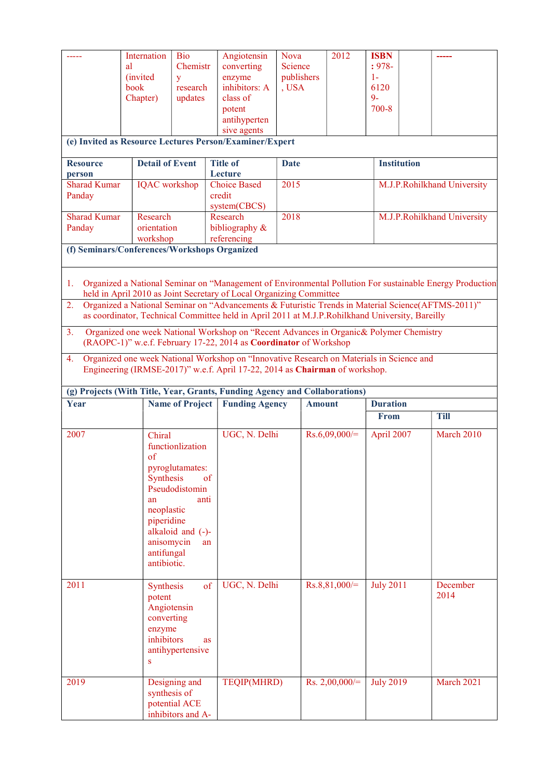|                                              | Internation<br>al<br><i>(invited)</i><br>book<br>Chapter)                                                                                                                                                                                                                                                                                                                                                                                                                                                                                                                                                                                                                                                                           | <b>Bio</b><br>Chemistr<br>y<br>research<br>updates                                             | Angiotensin<br>converting<br>enzyme<br>inhibitors: A<br>class of<br>potent<br>antihyperten<br>sive agents<br>(e) Invited as Resource Lectures Person/Examiner/Expert | <b>Nova</b><br>Science<br>publishers<br>, USA | 2012             | <b>ISBN</b><br>$: 978 -$<br>$1-$<br>6120<br>$9 -$<br>$700 - 8$ |  |                             |  |  |
|----------------------------------------------|-------------------------------------------------------------------------------------------------------------------------------------------------------------------------------------------------------------------------------------------------------------------------------------------------------------------------------------------------------------------------------------------------------------------------------------------------------------------------------------------------------------------------------------------------------------------------------------------------------------------------------------------------------------------------------------------------------------------------------------|------------------------------------------------------------------------------------------------|----------------------------------------------------------------------------------------------------------------------------------------------------------------------|-----------------------------------------------|------------------|----------------------------------------------------------------|--|-----------------------------|--|--|
| <b>Resource</b>                              | <b>Detail of Event</b>                                                                                                                                                                                                                                                                                                                                                                                                                                                                                                                                                                                                                                                                                                              |                                                                                                | <b>Title of</b>                                                                                                                                                      | <b>Institution</b><br><b>Date</b>             |                  |                                                                |  |                             |  |  |
| person<br><b>Sharad Kumar</b>                | <b>IQAC</b> workshop                                                                                                                                                                                                                                                                                                                                                                                                                                                                                                                                                                                                                                                                                                                |                                                                                                | Lecture<br><b>Choice Based</b>                                                                                                                                       | 2015                                          |                  |                                                                |  | M.J.P.Rohilkhand University |  |  |
| Panday                                       |                                                                                                                                                                                                                                                                                                                                                                                                                                                                                                                                                                                                                                                                                                                                     |                                                                                                | credit                                                                                                                                                               |                                               |                  |                                                                |  |                             |  |  |
| <b>Sharad Kumar</b>                          | Research                                                                                                                                                                                                                                                                                                                                                                                                                                                                                                                                                                                                                                                                                                                            |                                                                                                | system(CBCS)<br>Research                                                                                                                                             | 2018                                          |                  |                                                                |  | M.J.P.Rohilkhand University |  |  |
| Panday                                       | orientation                                                                                                                                                                                                                                                                                                                                                                                                                                                                                                                                                                                                                                                                                                                         |                                                                                                | bibliography &                                                                                                                                                       |                                               |                  |                                                                |  |                             |  |  |
| (f) Seminars/Conferences/Workshops Organized | workshop                                                                                                                                                                                                                                                                                                                                                                                                                                                                                                                                                                                                                                                                                                                            |                                                                                                | referencing                                                                                                                                                          |                                               |                  |                                                                |  |                             |  |  |
|                                              |                                                                                                                                                                                                                                                                                                                                                                                                                                                                                                                                                                                                                                                                                                                                     |                                                                                                |                                                                                                                                                                      |                                               |                  |                                                                |  |                             |  |  |
| 1.<br>2.<br>3.<br>4.                         | Organized a National Seminar on "Management of Environmental Pollution For sustainable Energy Production<br>held in April 2010 as Joint Secretary of Local Organizing Committee<br>Organized a National Seminar on "Advancements & Futuristic Trends in Material Science(AFTMS-2011)"<br>as coordinator, Technical Committee held in April 2011 at M.J.P.Rohilkhand University, Bareilly<br>Organized one week National Workshop on "Recent Advances in Organic & Polymer Chemistry<br>(RAOPC-1)" w.e.f. February 17-22, 2014 as Coordinator of Workshop<br>Organized one week National Workshop on "Innovative Research on Materials in Science and<br>Engineering (IRMSE-2017)" w.e.f. April 17-22, 2014 as Chairman of workshop. |                                                                                                |                                                                                                                                                                      |                                               |                  |                                                                |  |                             |  |  |
|                                              |                                                                                                                                                                                                                                                                                                                                                                                                                                                                                                                                                                                                                                                                                                                                     |                                                                                                |                                                                                                                                                                      |                                               |                  |                                                                |  |                             |  |  |
| Year                                         |                                                                                                                                                                                                                                                                                                                                                                                                                                                                                                                                                                                                                                                                                                                                     | <b>Name of Project</b>                                                                         | (g) Projects (With Title, Year, Grants, Funding Agency and Collaborations)<br><b>Funding Agency</b>                                                                  |                                               | <b>Amount</b>    | <b>Duration</b>                                                |  |                             |  |  |
|                                              |                                                                                                                                                                                                                                                                                                                                                                                                                                                                                                                                                                                                                                                                                                                                     |                                                                                                |                                                                                                                                                                      |                                               |                  | From                                                           |  | <b>Till</b>                 |  |  |
| 2007                                         | Chiral<br>of<br>Synthesis<br>an<br>neoplastic<br>piperidine<br>anisomycin<br>antifungal<br>antibiotic.                                                                                                                                                                                                                                                                                                                                                                                                                                                                                                                                                                                                                              | functionlization<br>pyroglutamates:<br>of<br>Pseudodistomin<br>anti<br>alkaloid and (-)-<br>an | UGC, N. Delhi                                                                                                                                                        |                                               | $Rs.6,09,000/=$  | April 2007                                                     |  | March 2010                  |  |  |
| 2011                                         | Synthesis<br>potent<br>Angiotensin<br>converting<br>enzyme<br>inhibitors<br>S                                                                                                                                                                                                                                                                                                                                                                                                                                                                                                                                                                                                                                                       | of<br><b>as</b><br>antihypertensive                                                            | UGC, N. Delhi                                                                                                                                                        |                                               | $Rs.8,81,000/=$  | <b>July 2011</b>                                               |  | December<br>2014            |  |  |
| 2019                                         | synthesis of                                                                                                                                                                                                                                                                                                                                                                                                                                                                                                                                                                                                                                                                                                                        | Designing and<br>potential ACE<br>inhibitors and A-                                            | TEQIP(MHRD)                                                                                                                                                          |                                               | Rs. $2,00,000/=$ | <b>July 2019</b>                                               |  | March 2021                  |  |  |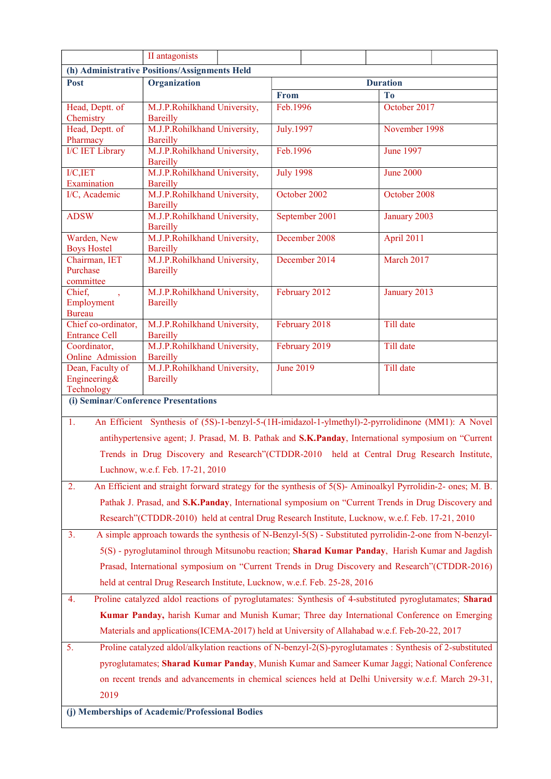|                                                                                             | II antagonists                                                                                             |  |                  |                |                  |               |  |  |
|---------------------------------------------------------------------------------------------|------------------------------------------------------------------------------------------------------------|--|------------------|----------------|------------------|---------------|--|--|
| (h) Administrative Positions/Assignments Held                                               |                                                                                                            |  |                  |                |                  |               |  |  |
| Post                                                                                        | Organization                                                                                               |  | <b>Duration</b>  |                |                  |               |  |  |
|                                                                                             |                                                                                                            |  | From             |                | T <sub>o</sub>   |               |  |  |
| Head, Deptt. of<br>Chemistry                                                                | M.J.P.Rohilkhand University,<br><b>Bareilly</b>                                                            |  | Feb.1996         |                | October 2017     |               |  |  |
| Head, Deptt. of<br>Pharmacy                                                                 | M.J.P.Rohilkhand University,<br><b>Bareilly</b>                                                            |  | July.1997        |                |                  | November 1998 |  |  |
| I/C IET Library                                                                             | M.J.P.Rohilkhand University,<br><b>Bareilly</b>                                                            |  | Feb.1996         |                | <b>June 1997</b> |               |  |  |
| I/C, IET<br>Examination                                                                     | M.J.P.Rohilkhand University,<br><b>Bareilly</b>                                                            |  | <b>July 1998</b> |                | <b>June 2000</b> |               |  |  |
| I/C, Academic                                                                               | M.J.P.Rohilkhand University,<br><b>Bareilly</b>                                                            |  |                  | October 2002   | October 2008     |               |  |  |
| <b>ADSW</b>                                                                                 | M.J.P.Rohilkhand University,<br><b>Bareilly</b>                                                            |  |                  | September 2001 | January 2003     |               |  |  |
| Warden, New<br><b>Boys Hostel</b>                                                           | M.J.P.Rohilkhand University,<br><b>Bareilly</b>                                                            |  |                  | December 2008  | April 2011       |               |  |  |
| Chairman, IET<br>Purchase<br>committee                                                      | M.J.P.Rohilkhand University,<br><b>Bareilly</b>                                                            |  |                  | December 2014  | March 2017       |               |  |  |
| Chief,<br>$\rightarrow$<br>Employment<br><b>Bureau</b>                                      | M.J.P.Rohilkhand University,<br><b>Bareilly</b>                                                            |  |                  | February 2012  | January 2013     |               |  |  |
| Chief co-ordinator,<br><b>Entrance Cell</b>                                                 | M.J.P.Rohilkhand University,<br><b>Bareilly</b>                                                            |  |                  | February 2018  | Till date        |               |  |  |
| Coordinator,<br>Online Admission                                                            | M.J.P.Rohilkhand University,<br><b>Bareilly</b>                                                            |  |                  | February 2019  | Till date        |               |  |  |
| Dean, Faculty of                                                                            | M.J.P.Rohilkhand University,                                                                               |  | <b>June 2019</b> |                | Till date        |               |  |  |
| Engineering&                                                                                | <b>Bareilly</b>                                                                                            |  |                  |                |                  |               |  |  |
| Technology<br>(i) Seminar/Conference Presentations                                          |                                                                                                            |  |                  |                |                  |               |  |  |
|                                                                                             |                                                                                                            |  |                  |                |                  |               |  |  |
| 1.                                                                                          | An Efficient Synthesis of (5S)-1-benzyl-5-(1H-imidazol-1-ylmethyl)-2-pyrrolidinone (MM1): A Novel          |  |                  |                |                  |               |  |  |
|                                                                                             | antihypertensive agent; J. Prasad, M. B. Pathak and S.K.Panday, International symposium on "Current        |  |                  |                |                  |               |  |  |
|                                                                                             | Trends in Drug Discovery and Research"(CTDDR-2010 held at Central Drug Research Institute,                 |  |                  |                |                  |               |  |  |
|                                                                                             | Luchnow, w.e.f. Feb. 17-21, 2010                                                                           |  |                  |                |                  |               |  |  |
| 2.                                                                                          | An Efficient and straight forward strategy for the synthesis of 5(S)- Aminoalkyl Pyrrolidin-2- ones; M. B. |  |                  |                |                  |               |  |  |
|                                                                                             | Pathak J. Prasad, and S.K.Panday, International symposium on "Current Trends in Drug Discovery and         |  |                  |                |                  |               |  |  |
|                                                                                             | Research" (CTDDR-2010) held at central Drug Research Institute, Lucknow, w.e.f. Feb. 17-21, 2010           |  |                  |                |                  |               |  |  |
| 3.                                                                                          | A simple approach towards the synthesis of N-Benzyl-5(S) - Substituted pyrrolidin-2-one from N-benzyl-     |  |                  |                |                  |               |  |  |
|                                                                                             | 5(S) - pyroglutaminol through Mitsunobu reaction; Sharad Kumar Panday, Harish Kumar and Jagdish            |  |                  |                |                  |               |  |  |
|                                                                                             | Prasad, International symposium on "Current Trends in Drug Discovery and Research" (CTDDR-2016)            |  |                  |                |                  |               |  |  |
|                                                                                             | held at central Drug Research Institute, Lucknow, w.e.f. Feb. 25-28, 2016                                  |  |                  |                |                  |               |  |  |
| 4.                                                                                          | Proline catalyzed aldol reactions of pyroglutamates: Synthesis of 4-substituted pyroglutamates; Sharad     |  |                  |                |                  |               |  |  |
| Kumar Panday, harish Kumar and Munish Kumar; Three day International Conference on Emerging |                                                                                                            |  |                  |                |                  |               |  |  |
|                                                                                             | Materials and applications (ICEMA-2017) held at University of Allahabad w.e.f. Feb-20-22, 2017             |  |                  |                |                  |               |  |  |
| 5.                                                                                          | Proline catalyzed aldol/alkylation reactions of N-benzyl-2(S)-pyroglutamates : Synthesis of 2-substituted  |  |                  |                |                  |               |  |  |
|                                                                                             | pyroglutamates; Sharad Kumar Panday, Munish Kumar and Sameer Kumar Jaggi; National Conference              |  |                  |                |                  |               |  |  |
|                                                                                             | on recent trends and advancements in chemical sciences held at Delhi University w.e.f. March 29-31,        |  |                  |                |                  |               |  |  |
| 2019                                                                                        |                                                                                                            |  |                  |                |                  |               |  |  |
| (j) Memberships of Academic/Professional Bodies                                             |                                                                                                            |  |                  |                |                  |               |  |  |